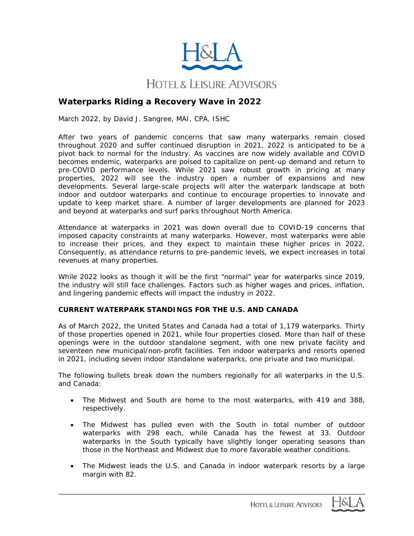

# **Waterparks Riding a Recovery Wave in 2022**

March 2022, by David J. Sangree, MAI, CPA, ISHC

After two years of pandemic concerns that saw many waterparks remain closed throughout 2020 and suffer continued disruption in 2021, 2022 is anticipated to be a pivot back to normal for the industry. As vaccines are now widely available and COVID becomes endemic, waterparks are poised to capitalize on pent-up demand and return to pre-COVID performance levels. While 2021 saw robust growth in pricing at many properties, 2022 will see the industry open a number of expansions and new developments. Several large-scale projects will alter the waterpark landscape at both indoor and outdoor waterparks and continue to encourage properties to innovate and update to keep market share. A number of larger developments are planned for 2023 and beyond at waterparks and surf parks throughout North America.

Attendance at waterparks in 2021 was down overall due to COVID-19 concerns that imposed capacity constraints at many waterparks. However, most waterparks were able to increase their prices, and they expect to maintain these higher prices in 2022. Consequently, as attendance returns to pre-pandemic levels, we expect increases in total revenues at many properties.

While 2022 looks as though it will be the first "normal" year for waterparks since 2019, the industry will still face challenges. Factors such as higher wages and prices, inflation, and lingering pandemic effects will impact the industry in 2022.

### **CURRENT WATERPARK STANDINGS FOR THE U.S. AND CANADA**

As of March 2022, the United States and Canada had a total of 1,179 waterparks. Thirty of those properties opened in 2021, while four properties closed. More than half of these openings were in the outdoor standalone segment, with one new private facility and seventeen new municipal/non-profit facilities. Ten indoor waterparks and resorts opened in 2021, including seven indoor standalone waterparks, one private and two municipal.

The following bullets break down the numbers regionally for all waterparks in the U.S. and Canada:

- The Midwest and South are home to the most waterparks, with 419 and 388, respectively.
- The Midwest has pulled even with the South in total number of outdoor waterparks with 298 each, while Canada has the fewest at 33. Outdoor waterparks in the South typically have slightly longer operating seasons than those in the Northeast and Midwest due to more favorable weather conditions.
- The Midwest leads the U.S. and Canada in indoor waterpark resorts by a large margin with 82.

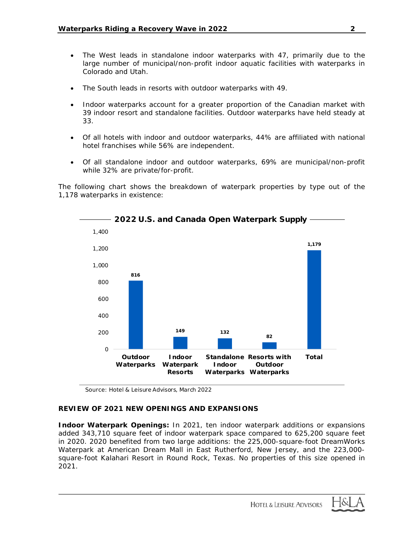- The West leads in standalone indoor waterparks with 47, primarily due to the large number of municipal/non-profit indoor aquatic facilities with waterparks in Colorado and Utah.
- The South leads in resorts with outdoor waterparks with 49.
- Indoor waterparks account for a greater proportion of the Canadian market with 39 indoor resort and standalone facilities. Outdoor waterparks have held steady at 33.
- Of all hotels with indoor and outdoor waterparks, 44% are affiliated with national hotel franchises while 56% are independent.
- Of all standalone indoor and outdoor waterparks, 69% are municipal/non-profit while 32% are private/for-profit.

The following chart shows the breakdown of waterpark properties by type out of the 1,178 waterparks in existence:



*Source: Hotel & Leisure Advisors, March 2022*

# **REVIEW OF 2021 NEW OPENINGS AND EXPANSIONS**

**Indoor Waterpark Openings:** In 2021, ten indoor waterpark additions or expansions added 343,710 square feet of indoor waterpark space compared to 625,200 square feet in 2020. 2020 benefited from two large additions: the 225,000-square-foot DreamWorks Waterpark at American Dream Mall in East Rutherford, New Jersey, and the 223,000 square-foot Kalahari Resort in Round Rock, Texas. No properties of this size opened in 2021.

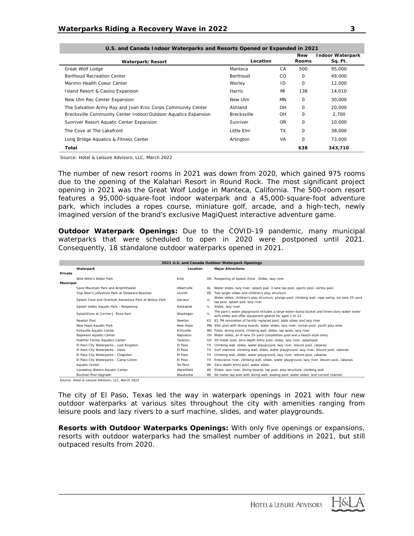| U.S. and Canada Indoor Waterparks and Resorts Opened or Expanded in 2021 |                    |               |              |                         |  |  |  |
|--------------------------------------------------------------------------|--------------------|---------------|--------------|-------------------------|--|--|--|
|                                                                          |                    |               | <b>New</b>   | <b>Indoor Waterpark</b> |  |  |  |
| Waterpark/Resort                                                         | Location           |               | <b>Rooms</b> | Sq. Ft.                 |  |  |  |
| Great Wolf Lodge                                                         | Manteca            | CA            | 500          | 95.000                  |  |  |  |
| <b>Berthoud Recreation Center</b>                                        | Berthoud           | <sub>CO</sub> | $\Omega$     | 49,000                  |  |  |  |
| Marimn Health Coeur Center                                               | Worley             | ID            | 0            | 12,000                  |  |  |  |
| Island Resort & Casino Expansion                                         | Harris             | MI            | 138          | 14,010                  |  |  |  |
| New Ulm Rec Center Expansion                                             | New Ulm            | <b>MN</b>     | 0            | 30,000                  |  |  |  |
| The Salvation Army Ray and Joan Kroc Corps Community Center              | Ashland            | OH            | $\Omega$     | 20.000                  |  |  |  |
| Brecksville Community Center Indoor/Outdoor Aquatics Expansion           | <b>Brecksville</b> | OH            | 0            | 2,700                   |  |  |  |
| Sunriver Resort Aquatic Center Expansion                                 | Sunriver           | OR            | 0            | 10,000                  |  |  |  |
| The Cove at The Lakefront                                                | Little Elm         | <b>TX</b>     | 0            | 38,000                  |  |  |  |
| Long Bridge Aquatics & Fitness Center                                    | Arlington          | VA            | 0            | 73,000                  |  |  |  |
| Total                                                                    |                    |               | 638          | 343,710                 |  |  |  |

*Source: Hotel & Leisure Advisors, LLC, March 2022*

The number of new resort rooms in 2021 was down from 2020, which gained 975 rooms due to the opening of the Kalahari Resort in Round Rock. The most significant project opening in 2021 was the Great Wolf Lodge in Manteca, California. The 500-room resort features a 95,000-square-foot indoor waterpark and a 45,000-square-foot adventure park, which includes a ropes course, miniature golf, arcade, and a high-tech, newly imagined version of the brand's exclusive MagiQuest interactive adventure game.

**Outdoor Waterpark Openings:** Due to the COVID-19 pandemic, many municipal waterparks that were scheduled to open in 2020 were postponed until 2021. Consequently, 18 standalone outdoor waterparks opened in 2021.

| 2021 U.S. and Canada Outdoor Waterpark Openings |                                                        |             |     |                                                                                                                                                        |  |  |  |  |
|-------------------------------------------------|--------------------------------------------------------|-------------|-----|--------------------------------------------------------------------------------------------------------------------------------------------------------|--|--|--|--|
|                                                 | Waterpark                                              | Location    |     | <b>Major Attractions</b>                                                                                                                               |  |  |  |  |
| <b>Private</b>                                  |                                                        |             |     |                                                                                                                                                        |  |  |  |  |
|                                                 | Wild Willie's Water Park                               | Enid        |     | OK Reopening of Splash Zone. Slides, lazy river                                                                                                        |  |  |  |  |
| Municipal                                       |                                                        |             |     |                                                                                                                                                        |  |  |  |  |
|                                                 | Sand Mountain Park and Amphitheater                    | Albertville |     | AL Water slides, lazy river, splash pad, 3-lane lap pool, sports pool, vortex pool                                                                     |  |  |  |  |
|                                                 | Yogi Bear's Jellystone Park at Delaware Beaches        | Lincoln     | DE. | Two larger slides and children's play structure                                                                                                        |  |  |  |  |
|                                                 | Splash Cove and Overlook Adventure Park at Nelson Park | Decatur     | IL. | Water slides, children's play structure, plunge pool, climbing wall, rope swing, six-lane 25-yard<br>lap pool, splash pad, lazy river                  |  |  |  |  |
|                                                 | Splash Valley Aquatic Park - Reopening                 | Kankakee    | IL. | Slides, lazy river                                                                                                                                     |  |  |  |  |
|                                                 | SplashZone at Corrine J. Rose Park                     | Waukegan    | IL  | The park's water playground includes a large water-dump bucket and three-story water tower<br>with slides and offer equipment geared for ages 2 to 12. |  |  |  |  |
|                                                 | Newton Pool                                            | Newton      |     | KS \$2.7M renovation of facility replaced pool, adds slides and lazy river                                                                             |  |  |  |  |
|                                                 | New Hope Aquatic Park                                  | New Hope    |     | MN 50m pool with diving boards, water slides, lazy river, vortex pool, youth play area                                                                 |  |  |  |  |
|                                                 | Kirksville Aquatic Center                              | Kirksville  |     | MO Pools, diving board, climbing wall, slides, lap lanes, lazy river                                                                                   |  |  |  |  |
|                                                 | Napoleon Aquatic Center                                | Napoleon    |     | OH Water slides, an 8-lane 25-yard competition pool and a beach-style entry                                                                            |  |  |  |  |
|                                                 | Huether Family Aquatics Center                         | Yankton     |     | SD 50-meter pool, zero-depth entry pool, slides, lazy river, splashpad                                                                                 |  |  |  |  |
|                                                 | El Paso City Waterparks - Lost Kingdom                 | El Paso     |     | TX Climbing wall, slides, water playground, lazy river, leisure pool, cabanas                                                                          |  |  |  |  |
|                                                 | El Paso City Waterparks - Oasis                        | El Paso     | TX. | Surf machine, climbing wall, slides, water playground, lazy river, leisure pool, cabanas                                                               |  |  |  |  |
|                                                 | El Paso City Waterparks - Chapoteo                     | El Paso     | TX. | Climbing wall, slides, water playground, lazy river, leisure pool, cabanas                                                                             |  |  |  |  |
|                                                 | El Paso City Waterparks - Camp Cohen                   | El Paso     |     | TX Endurance river, climbing wall, slides, water playground, lazy river, leisure pool, cabanas                                                         |  |  |  |  |
|                                                 | Aquatic Center                                         | De Pere     | WI  | Zero-depth entry pool, water slides                                                                                                                    |  |  |  |  |
|                                                 | Vandehey Waters Aquatic Center                         | Marshfield  | WI  | Slides, lazy river, diving boards, lap pool, play structure, climbing wall                                                                             |  |  |  |  |
|                                                 | Buchner Pool Upgrade                                   | Waukesha    |     | WI 50-meter lap pool with diving well, wading pool, water slides, and current channel                                                                  |  |  |  |  |

*Source: Hotel & Leisure Advisors, LLC, March 2022*

The city of El Paso, Texas led the way in waterpark openings in 2021 with four new outdoor waterparks at various sites throughout the city with amenities ranging from leisure pools and lazy rivers to a surf machine, slides, and water playgrounds.

**Resorts with Outdoor Waterparks Openings:** With only five openings or expansions, resorts with outdoor waterparks had the smallest number of additions in 2021, but still outpaced results from 2020.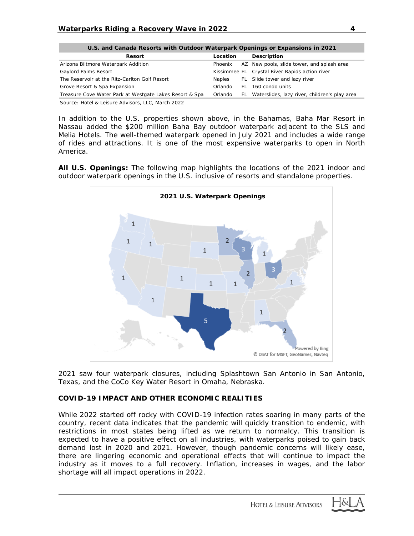| U.S. and Canada Resorts with Outdoor Waterpark Openings or Expansions in 2021 |               |  |                                                  |  |  |  |  |  |
|-------------------------------------------------------------------------------|---------------|--|--------------------------------------------------|--|--|--|--|--|
| <b>Resort</b>                                                                 | Location      |  | <b>Description</b>                               |  |  |  |  |  |
| Arizona Biltmore Waterpark Addition                                           | Phoenix       |  | AZ New pools, slide tower, and splash area       |  |  |  |  |  |
| Gaylord Palms Resort                                                          |               |  | Kissimmee FL Crystal River Rapids action river   |  |  |  |  |  |
| The Reservoir at the Ritz-Carlton Golf Resort                                 | <b>Naples</b> |  | FL Slide tower and lazy river                    |  |  |  |  |  |
| Grove Resort & Spa Expansion                                                  | Orlando       |  | FL 160 condo units                               |  |  |  |  |  |
| Treasure Cove Water Park at Westgate Lakes Resort & Spa                       | Orlando       |  | FL Waterslides, lazy river, children's play area |  |  |  |  |  |
| Course Ustal & Loisure Advisors U.C. March 2022                               |               |  |                                                  |  |  |  |  |  |

*Source: Hotel & Leisure Advisors, LLC, March 2022*

In addition to the U.S. properties shown above, in the Bahamas, Baha Mar Resort in Nassau added the \$200 million Baha Bay outdoor waterpark adjacent to the SLS and Melia Hotels. The well-themed waterpark opened in July 2021 and includes a wide range of rides and attractions. It is one of the most expensive waterparks to open in North America.

**All U.S. Openings:** The following map highlights the locations of the 2021 indoor and outdoor waterpark openings in the U.S. inclusive of resorts and standalone properties.



2021 saw four waterpark closures, including Splashtown San Antonio in San Antonio, Texas, and the CoCo Key Water Resort in Omaha, Nebraska.

# **COVID-19 IMPACT AND OTHER ECONOMIC REALITIES**

While 2022 started off rocky with COVID-19 infection rates soaring in many parts of the country, recent data indicates that the pandemic will quickly transition to endemic, with restrictions in most states being lifted as we return to normalcy. This transition is expected to have a positive effect on all industries, with waterparks poised to gain back demand lost in 2020 and 2021. However, though pandemic concerns will likely ease, there are lingering economic and operational effects that will continue to impact the industry as it moves to a full recovery. Inflation, increases in wages, and the labor shortage will all impact operations in 2022.

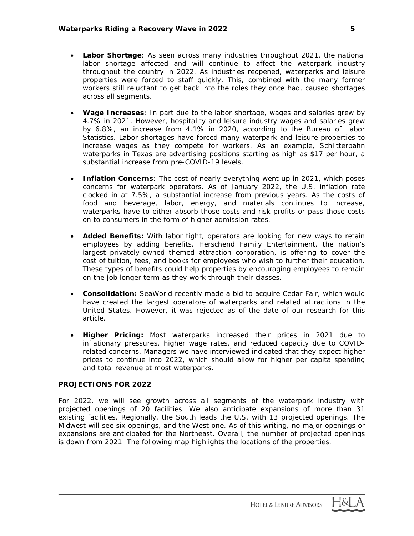- **Labor Shortage**: As seen across many industries throughout 2021, the national labor shortage affected and will continue to affect the waterpark industry throughout the country in 2022. As industries reopened, waterparks and leisure properties were forced to staff quickly. This, combined with the many former workers still reluctant to get back into the roles they once had, caused shortages across all segments.
- **Wage Increases**: In part due to the labor shortage, wages and salaries grew by 4.7% in 2021. However, hospitality and leisure industry wages and salaries grew by 6.8%, an increase from 4.1% in 2020, according to the Bureau of Labor Statistics. Labor shortages have forced many waterpark and leisure properties to increase wages as they compete for workers. As an example, Schlitterbahn waterparks in Texas are advertising positions starting as high as \$17 per hour, a substantial increase from pre-COVID-19 levels.
- **Inflation Concerns**: The cost of nearly everything went up in 2021, which poses concerns for waterpark operators. As of January 2022, the U.S. inflation rate clocked in at 7.5%, a substantial increase from previous years. As the costs of food and beverage, labor, energy, and materials continues to increase, waterparks have to either absorb those costs and risk profits or pass those costs on to consumers in the form of higher admission rates.
- **Added Benefits:** With labor tight, operators are looking for new ways to retain employees by adding benefits. Herschend Family Entertainment, the nation's largest privately-owned themed attraction corporation, is offering to cover the cost of tuition, fees, and books for employees who wish to further their education. These types of benefits could help properties by encouraging employees to remain on the job longer term as they work through their classes.
- **Consolidation:** SeaWorld recently made a bid to acquire Cedar Fair, which would have created the largest operators of waterparks and related attractions in the United States. However, it was rejected as of the date of our research for this article.
- **Higher Pricing:** Most waterparks increased their prices in 2021 due to inflationary pressures, higher wage rates, and reduced capacity due to COVIDrelated concerns. Managers we have interviewed indicated that they expect higher prices to continue into 2022, which should allow for higher per capita spending and total revenue at most waterparks.

# **PROJECTIONS FOR 2022**

For 2022, we will see growth across all segments of the waterpark industry with projected openings of 20 facilities. We also anticipate expansions of more than 31 existing facilities. Regionally, the South leads the U.S. with 13 projected openings. The Midwest will see six openings, and the West one. As of this writing, no major openings or expansions are anticipated for the Northeast. Overall, the number of projected openings is down from 2021. The following map highlights the locations of the properties.

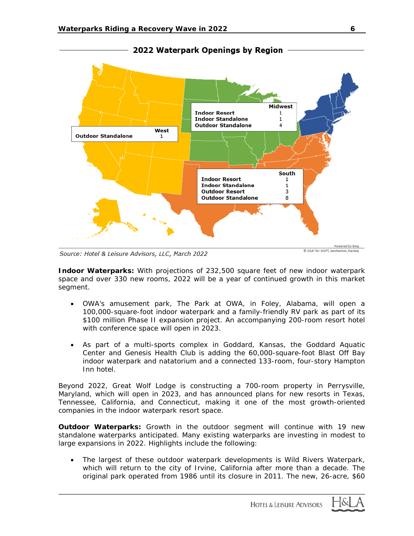

2022 Waterpark Openings by Region

Source: Hotel & Leisure Advisors, LLC, March 2022

© DSAT for MSFT, GeoNames, Navteg

**Indoor Waterparks:** With projections of 232,500 square feet of new indoor waterpark space and over 330 new rooms, 2022 will be a year of continued growth in this market segment.

- OWA's amusement park, The Park at OWA, in Foley, Alabama, will open a 100,000-square-foot indoor waterpark and a family-friendly RV park as part of its \$100 million Phase II expansion project. An accompanying 200-room resort hotel with conference space will open in 2023.
- As part of a multi-sports complex in Goddard, Kansas, the Goddard Aquatic Center and Genesis Health Club is adding the 60,000-square-foot Blast Off Bay indoor waterpark and natatorium and a connected 133-room, four-story Hampton Inn hotel.

Beyond 2022, Great Wolf Lodge is constructing a 700-room property in Perrysville, Maryland, which will open in 2023, and has announced plans for new resorts in Texas, Tennessee, California, and Connecticut, making it one of the most growth-oriented companies in the indoor waterpark resort space.

**Outdoor Waterparks:** Growth in the outdoor segment will continue with 19 new standalone waterparks anticipated. Many existing waterparks are investing in modest to large expansions in 2022. Highlights include the following:

• The largest of these outdoor waterpark developments is Wild Rivers Waterpark, which will return to the city of Irvine, California after more than a decade. The original park operated from 1986 until its closure in 2011. The new, 26-acre, \$60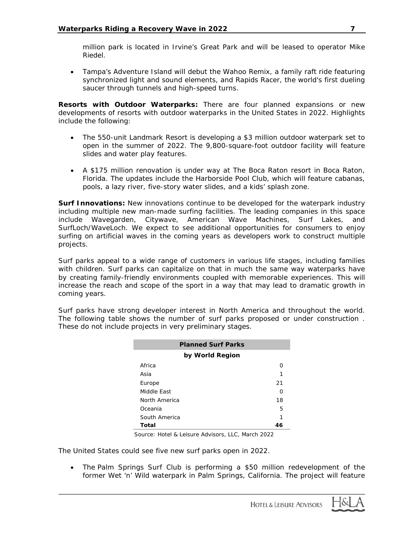million park is located in Irvine's Great Park and will be leased to operator Mike Riedel.

• Tampa's Adventure Island will debut the Wahoo Remix, a family raft ride featuring synchronized light and sound elements, and Rapids Racer, the world's first dueling saucer through tunnels and high-speed turns.

**Resorts with Outdoor Waterparks:** There are four planned expansions or new developments of resorts with outdoor waterparks in the United States in 2022. Highlights include the following:

- The 550-unit Landmark Resort is developing a \$3 million outdoor waterpark set to open in the summer of 2022. The 9,800-square-foot outdoor facility will feature slides and water play features.
- A \$175 million renovation is under way at The Boca Raton resort in Boca Raton, Florida. The updates include the Harborside Pool Club, which will feature cabanas, pools, a lazy river, five-story water slides, and a kids' splash zone.

**Surf Innovations:** New innovations continue to be developed for the waterpark industry including multiple new man-made surfing facilities. The leading companies in this space include Wavegarden, Citywave, American Wave Machines, Surf Lakes, and SurfLoch/WaveLoch. We expect to see additional opportunities for consumers to enjoy surfing on artificial waves in the coming years as developers work to construct multiple projects.

Surf parks appeal to a wide range of customers in various life stages, including families with children. Surf parks can capitalize on that in much the same way waterparks have by creating family-friendly environments coupled with memorable experiences. This will increase the reach and scope of the sport in a way that may lead to dramatic growth in coming years.

Surf parks have strong developer interest in North America and throughout the world. The following table shows the number of surf parks proposed or under construction . These do not include projects in very preliminary stages.

| <b>Planned Surf Parks</b> |    |  |  |  |  |  |
|---------------------------|----|--|--|--|--|--|
| by World Region           |    |  |  |  |  |  |
| Africa                    | O  |  |  |  |  |  |
| Asia                      | 1  |  |  |  |  |  |
| Europe                    | 21 |  |  |  |  |  |
| Middle East               | O  |  |  |  |  |  |
| North America             | 18 |  |  |  |  |  |
| Oceania                   | 5  |  |  |  |  |  |
| South America             | 1  |  |  |  |  |  |
| Total                     | 46 |  |  |  |  |  |

*Source: Hotel & Leisure Advisors, LLC, March 2022*

The United States could see five new surf parks open in 2022.

• The Palm Springs Surf Club is performing a \$50 million redevelopment of the former Wet 'n' Wild waterpark in Palm Springs, California. The project will feature